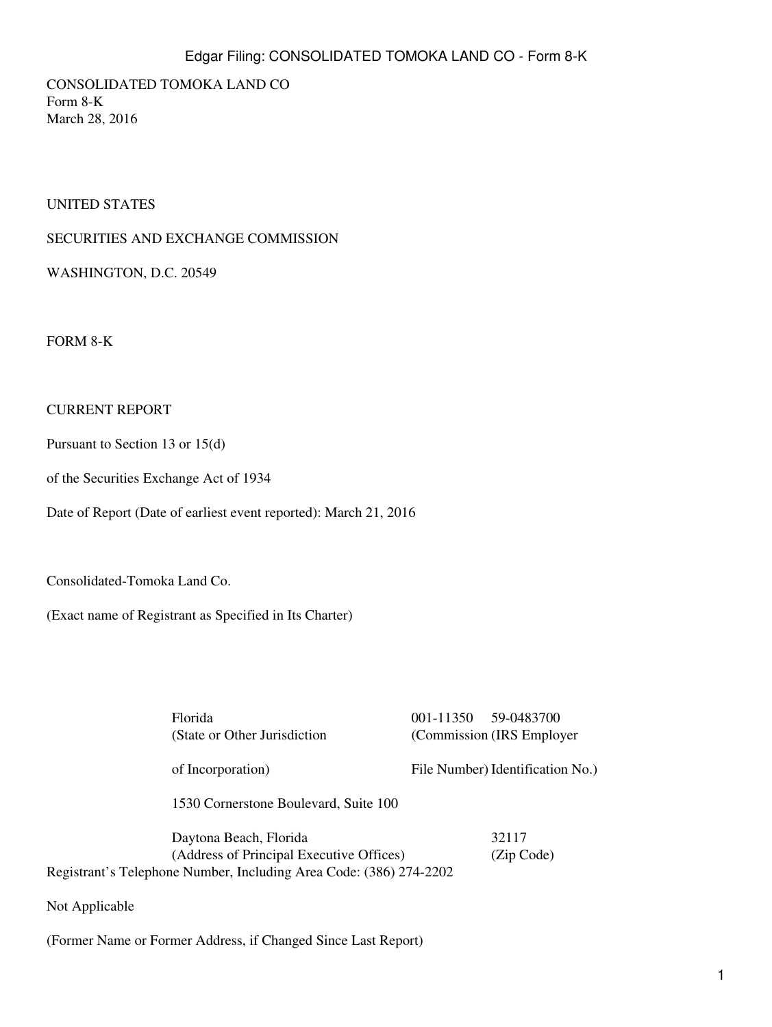## Edgar Filing: CONSOLIDATED TOMOKA LAND CO - Form 8-K

CONSOLIDATED TOMOKA LAND CO Form 8-K March 28, 2016

#### UNITED STATES

#### SECURITIES AND EXCHANGE COMMISSION

WASHINGTON, D.C. 20549

FORM 8-K

#### CURRENT REPORT

Pursuant to Section 13 or 15(d)

of the Securities Exchange Act of 1934

Date of Report (Date of earliest event reported): March 21, 2016

Consolidated-Tomoka Land Co.

(Exact name of Registrant as Specified in Its Charter)

Florida 001-11350 59-0483700 (State or Other Jurisdiction of Incorporation) (Commission (IRS Employer File Number) Identification No.) 1530 Cornerstone Boulevard, Suite 100 Daytona Beach, Florida 32117 (Address of Principal Executive Offices) (Zip Code)

Registrant's Telephone Number, Including Area Code: (386) 274-2202

Not Applicable

(Former Name or Former Address, if Changed Since Last Report)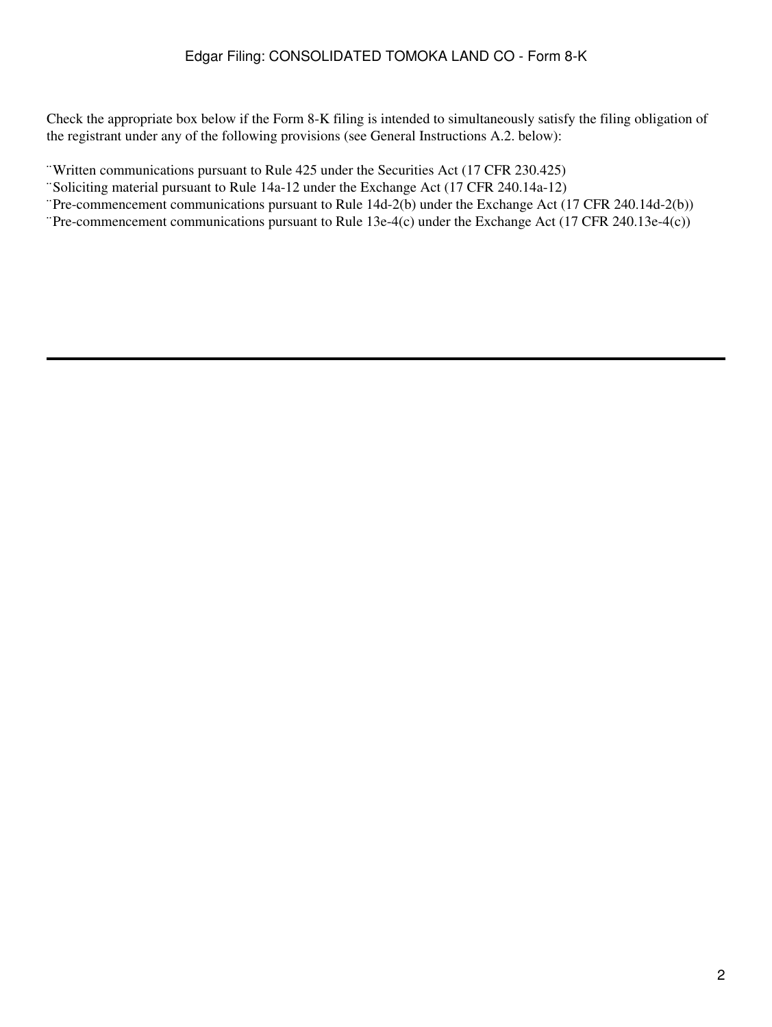Check the appropriate box below if the Form 8-K filing is intended to simultaneously satisfy the filing obligation of the registrant under any of the following provisions (see General Instructions A.2. below):

¨Written communications pursuant to Rule 425 under the Securities Act (17 CFR 230.425)

¨Soliciting material pursuant to Rule 14a-12 under the Exchange Act (17 CFR 240.14a-12)

¨Pre-commencement communications pursuant to Rule 14d-2(b) under the Exchange Act (17 CFR 240.14d-2(b))

¨Pre-commencement communications pursuant to Rule 13e-4(c) under the Exchange Act (17 CFR 240.13e-4(c))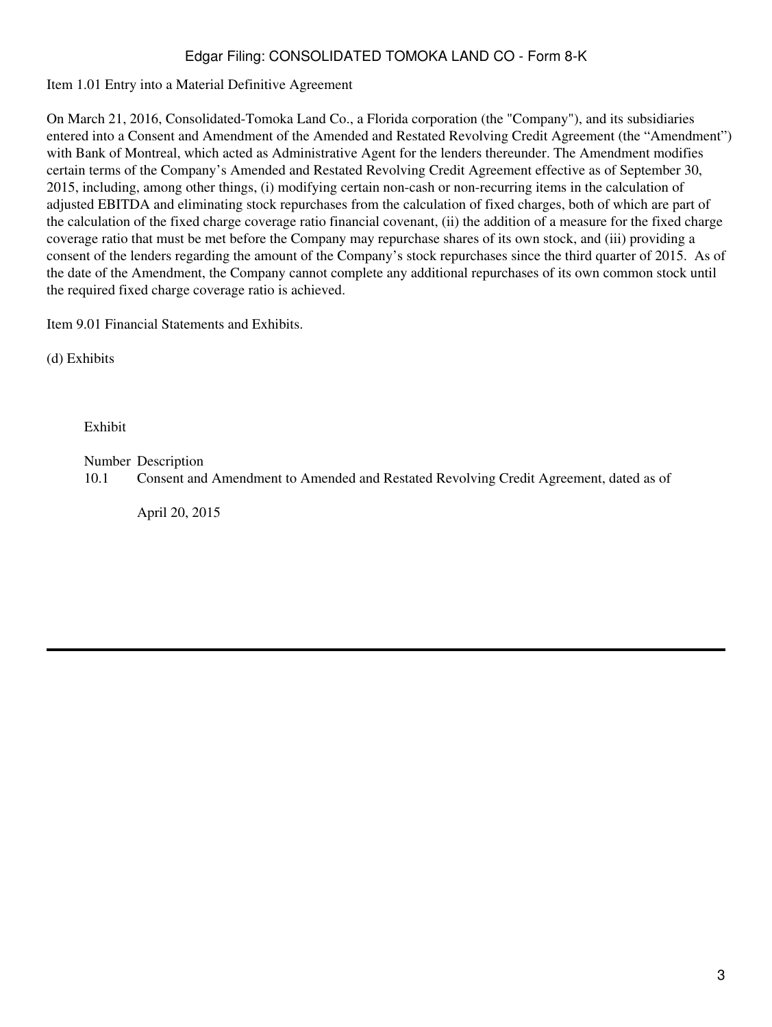# Edgar Filing: CONSOLIDATED TOMOKA LAND CO - Form 8-K

Item 1.01 Entry into a Material Definitive Agreement

On March 21, 2016, Consolidated-Tomoka Land Co., a Florida corporation (the "Company"), and its subsidiaries entered into a Consent and Amendment of the Amended and Restated Revolving Credit Agreement (the "Amendment") with Bank of Montreal, which acted as Administrative Agent for the lenders thereunder. The Amendment modifies certain terms of the Company's Amended and Restated Revolving Credit Agreement effective as of September 30, 2015, including, among other things, (i) modifying certain non-cash or non-recurring items in the calculation of adjusted EBITDA and eliminating stock repurchases from the calculation of fixed charges, both of which are part of the calculation of the fixed charge coverage ratio financial covenant, (ii) the addition of a measure for the fixed charge coverage ratio that must be met before the Company may repurchase shares of its own stock, and (iii) providing a consent of the lenders regarding the amount of the Company's stock repurchases since the third quarter of 2015. As of the date of the Amendment, the Company cannot complete any additional repurchases of its own common stock until the required fixed charge coverage ratio is achieved.

Item 9.01 Financial Statements and Exhibits.

(d) Exhibits

Exhibit

Number Description

10.1 Consent and Amendment to Amended and Restated Revolving Credit Agreement, dated as of

April 20, 2015